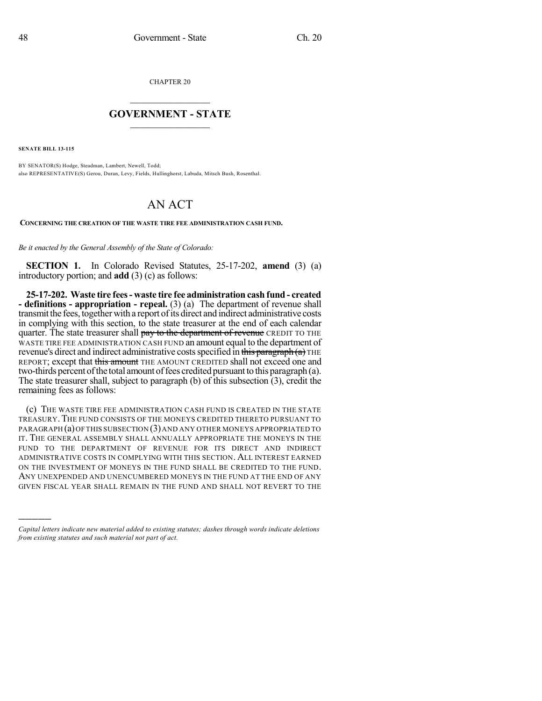CHAPTER 20

## $\overline{\phantom{a}}$  . The set of the set of the set of the set of the set of the set of the set of the set of the set of the set of the set of the set of the set of the set of the set of the set of the set of the set of the set o **GOVERNMENT - STATE**  $\_$

**SENATE BILL 13-115**

)))))

BY SENATOR(S) Hodge, Steadman, Lambert, Newell, Todd; also REPRESENTATIVE(S) Gerou, Duran, Levy, Fields, Hullinghorst, Labuda, Mitsch Bush, Rosenthal.

## AN ACT

**CONCERNING THE CREATION OF THE WASTE TIRE FEE ADMINISTRATION CASH FUND.**

*Be it enacted by the General Assembly of the State of Colorado:*

**SECTION 1.** In Colorado Revised Statutes, 25-17-202, **amend** (3) (a) introductory portion; and **add** (3) (c) as follows:

**25-17-202. Waste tire fees- waste tire fee administration cash fund - created - definitions - appropriation - repeal.** (3) (a) The department of revenue shall transmit the fees, together with a report of its direct and indirect administrative costs in complying with this section, to the state treasurer at the end of each calendar quarter. The state treasurer shall pay to the department of revenue CREDIT TO THE WASTE TIRE FEE ADMINISTRATION CASH FUND an amount equal to the department of revenue's direct and indirect administrative costs specified in this paragraph  $(a)$  THE REPORT; except that this amount THE AMOUNT CREDITED shall not exceed one and two-thirds percent of the total amount of fees credited pursuant to this paragraph (a). The state treasurer shall, subject to paragraph (b) of this subsection (3), credit the remaining fees as follows:

(c) THE WASTE TIRE FEE ADMINISTRATION CASH FUND IS CREATED IN THE STATE TREASURY.THE FUND CONSISTS OF THE MONEYS CREDITED THERETO PURSUANT TO PARAGRAPH (a)OF THIS SUBSECTION (3)AND ANY OTHER MONEYS APPROPRIATED TO IT. THE GENERAL ASSEMBLY SHALL ANNUALLY APPROPRIATE THE MONEYS IN THE FUND TO THE DEPARTMENT OF REVENUE FOR ITS DIRECT AND INDIRECT ADMINISTRATIVE COSTS IN COMPLYING WITH THIS SECTION. ALL INTEREST EARNED ON THE INVESTMENT OF MONEYS IN THE FUND SHALL BE CREDITED TO THE FUND. ANY UNEXPENDED AND UNENCUMBERED MONEYS IN THE FUND AT THE END OF ANY GIVEN FISCAL YEAR SHALL REMAIN IN THE FUND AND SHALL NOT REVERT TO THE

*Capital letters indicate new material added to existing statutes; dashes through words indicate deletions from existing statutes and such material not part of act.*